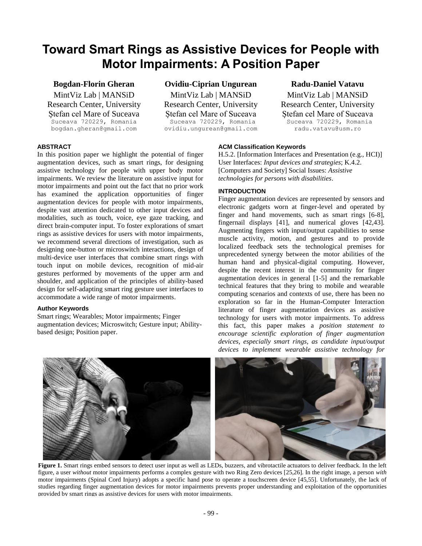# **Toward Smart Rings as Assistive Devices for People with Motor Impairments: A Position Paper**

# **Bogdan-Florin Gheran**

MintViz Lab | MANSiD Research Center, University Ștefan cel Mare of Suceava Suceava 720229, Romania bogdan.gheran@gmail.com

# **Ovidiu-Ciprian Ungurean**

MintViz Lab | MANSiD Research Center, University Ștefan cel Mare of Suceava Suceava 720229, Romania ovidiu.ungurean@gmail.com

# **Radu-Daniel Vatavu**

MintViz Lab | MANSiD Research Center, University Ștefan cel Mare of Suceava Suceava 720229, Romania radu.vatavu@usm.ro

## **ABSTRACT**

In this position paper we highlight the potential of finger augmentation devices, such as smart rings, for designing assistive technology for people with upper body motor impairments. We review the literature on assistive input for motor impairments and point out the fact that no prior work has examined the application opportunities of finger augmentation devices for people with motor impairments, despite vast attention dedicated to other input devices and modalities, such as touch, voice, eye gaze tracking, and direct brain-computer input. To foster explorations of smart rings as assistive devices for users with motor impairments, we recommend several directions of investigation, such as designing one-button or microswitch interactions, design of multi-device user interfaces that combine smart rings with touch input on mobile devices, recognition of mid-air gestures performed by movements of the upper arm and shoulder, and application of the principles of ability-based design for self-adapting smart ring gesture user interfaces to accommodate a wide range of motor impairments.

## **Author Keywords**

Smart rings; Wearables; Motor impairments; Finger augmentation devices; Microswitch; Gesture input; Abilitybased design; Position paper.

## **ACM Classification Keywords**

H.5.2. [Information Interfaces and Presentation (e.g., HCI)] User Interfaces: *Input devices and strategies*; K.4.2. [Computers and Society] Social Issues: *Assistive technologies for persons with disabilities*.

## **INTRODUCTION**

Finger augmentation devices are represented by sensors and electronic gadgets worn at finger-level and operated by finger and hand movements, such as smart rings [6-8], fingernail displays [41], and numerical gloves [42,43]. Augmenting fingers with input/output capabilities to sense muscle activity, motion, and gestures and to provide localized feedback sets the technological premises for unprecedented synergy between the motor abilities of the human hand and physical-digital computing. However, despite the recent interest in the community for finger augmentation devices in general [1-5] and the remarkable technical features that they bring to mobile and wearable computing scenarios and contexts of use, there has been no exploration so far in the Human-Computer Interaction literature of finger augmentation devices as assistive technology for users with motor impairments. To address this fact, this paper makes a *position statement to encourage scientific exploration of finger augmentation devices, especially smart rings, as candidate input/output devices to implement wearable assistive technology for* 



Figure 1. Smart rings embed sensors to detect user input as well as LEDs, buzzers, and vibrotactile actuators to deliver feedback. In the left figure, a user *without* motor impairments performs a complex gesture with two Ring Zero devices [25,26]. In the right image, a person *with* motor impairments (Spinal Cord Injury) adopts a specific hand pose to operate a touchscreen device [45,55]. Unfortunately, the lack of studies regarding finger augmentation devices for motor impairments prevents proper understanding and exploitation of the opportunities provided by smart rings as assistive devices for users with motor impairments.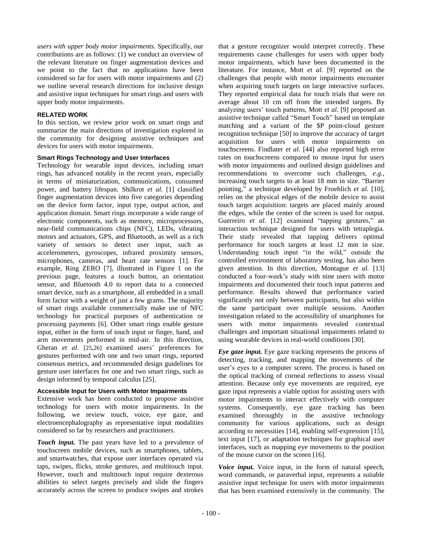*users with upper body motor impairments.* Specifically, our contributions are as follows: (1) we conduct an overview of the relevant literature on finger augmentation devices and we point to the fact that no applications have been considered so far for users with motor impairments and (2) we outline several research directions for inclusive design and assistive input techniques for smart rings and users with upper body motor impairments.

## **RELATED WORK**

In this section, we review prior work on smart rings and summarize the main directions of investigation explored in the community for designing assistive techniques and devices for users with motor impairments.

# **Smart Rings Technology and User Interfaces**

Technology for wearable input devices, including smart rings, has advanced notably in the recent years, especially in terms of miniaturization, communications, consumed power, and battery lifespan. Shilkrot *et al.* [1] classified finger augmentation devices into five categories depending on the device form factor, input type, output action, and application domain. Smart rings incorporate a wide range of electronic components, such as memory, microprocessors, near-field communications chips (NFC), LEDs, vibrating motors and actuators, GPS, and Bluetooth, as well as a rich variety of sensors to detect user input, such as accelerometers, gyroscopes, infrared proximity sensors, microphones, cameras, and heart rate sensors [1]. For example, Ring ZERO [7], illustrated in Figure 1 on the previous page, features a touch button, an orientation sensor, and Bluetooth 4.0 to report data to a connected smart device, such as a smartphone, all embedded in a small form factor with a weight of just a few grams. The majority of smart rings available commercially make use of NFC technology for practical purposes of authentication or processing payments [6]. Other smart rings enable gesture input, either in the form of touch input or finger, hand, and arm movements performed in mid-air. In this direction, Gheran *et al.* [25,26] examined users' preferences for gestures performed with one and two smart rings, reported consensus metrics, and recommended design guidelines for gesture user interfaces for one and two smart rings, such as design informed by temporal calculus [25].

# **Accessible Input for Users with Motor Impairments**

Extensive work has been conducted to propose assistive technology for users with motor impairments. In the following, we review touch, voice, eye gaze, and electroencephalography as representative input modalities considered so far by researchers and practitioners.

*Touch input.* The past years have led to a prevalence of touchscreen mobile devices, such as smartphones, tablets, and smartwatches, that expose user interfaces operated via taps, swipes, flicks, stroke gestures, and multitouch input. However, touch and multitouch input require dexterous abilities to select targets precisely and slide the fingers accurately across the screen to produce swipes and strokes

that a gesture recognizer would interpret correctly. These requirements cause challenges for users with upper body motor impairments, which have been documented in the literature. For instance, Mott *et al.* [9] reported on the challenges that people with motor impairments encounter when acquiring touch targets on large interactive surfaces. They reported empirical data for touch trials that were on average about 10 cm off from the intended targets. By analyzing users' touch patterns, Mott *et al.* [9] proposed an assistive technique called "Smart Touch" based on template matching and a variant of the \$P point-cloud gesture recognition technique [50] to improve the accuracy of target acquisition for users with motor impairments on touchscreens. Findlater *et al.* [44] also reported high error rates on touchscreens compared to mouse input for users with motor impairments and outlined design guidelines and recommendations to overcome such challenges, *e.g.*, increasing touch targets to at least 18 mm in size. "Barrier pointing," a technique developed by Froehlich *et al.* [10], relies on the physical edges of the mobile device to assist touch target acquisition: targets are placed mainly around the edges, while the center of the screen is used for output. Guerreiro *et al.* [12] examined "tapping gestures," an interaction technique designed for users with tetraplegia. Their study revealed that tapping delivers optimal performance for touch targets at least 12 mm in size. Understanding touch input "in the wild," outside the controlled environment of laboratory testing, has also been given attention. In this direction, Montague *et al.* [13] conducted a four-week's study with nine users with motor impairments and documented their touch input patterns and performance. Results showed that performance varied significantly not only between participants, but also within the same participant over multiple sessions. Another investigation related to the accessibility of smartphones for users with motor impairments revealed contextual challenges and important situational impairments related to using wearable devices in real-world conditions [30].

*Eye gaze input.* Eye gaze tracking represents the process of detecting, tracking, and mapping the movements of the user's eyes to a computer screen. The process is based on the optical tracking of corneal reflections to assess visual attention. Because only eye movements are required, eye gaze input represents a viable option for assisting users with motor impairments to interact effectively with computer systems. Consequently, eye gaze tracking has been examined thoroughly in the assistive technology community for various applications, such as design according to necessities [14], enabling self-expression [15], text input [17], or adaptation techniques for graphical user interfaces, such as mapping eye movements to the position of the mouse cursor on the screen [16].

*Voice input.* Voice input, in the form of natural speech, word commands, or paraverbal input, represents a suitable assistive input technique for users with motor impairments that has been examined extensively in the community. The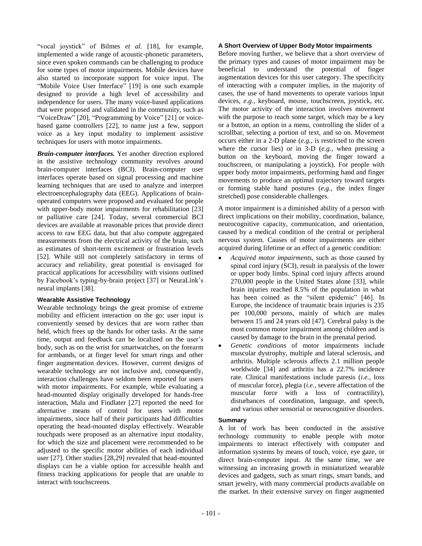"vocal joystick" of Bilmes *et al.* [18], for example, implemented a wide range of acoustic-phonetic parameters, since even spoken commands can be challenging to produce for some types of motor impairments. Mobile devices have also started to incorporate support for voice input. The "Mobile Voice User Interface" [19] is one such example designed to provide a high level of accessibility and independence for users. The many voice-based applications that were proposed and validated in the community, such as "VoiceDraw" [20], "Programming by Voice" [21] or voicebased game controllers [22], to name just a few, support voice as a key input modality to implement assistive techniques for users with motor impairments.

*Brain-computer interfaces.* Yet another direction explored in the assistive technology community revolves around brain-computer interfaces (BCI). Brain-computer user interfaces operate based on signal processing and machine learning techniques that are used to analyze and interpret electroencephalography data (EEG). Applications of brainoperated computers were proposed and evaluated for people with upper-body motor impairments for rehabilitation [23] or palliative care [24]. Today, several commercial BCI devices are available at reasonable prices that provide direct access to raw EEG data, but that also compute aggregated measurements from the electrical activity of the brain, such as estimates of short-term excitement or frustration levels [52]. While still not completely satisfactory in terms of accuracy and reliability, great potential is envisaged for practical applications for accessibility with visions outlined by Facebook's typing-by-brain project [37] or NeuraLink's neural implants [38].

# **Wearable Assistive Technology**

Wearable technology brings the great promise of extreme mobility and efficient interaction on the go: user input is conveniently sensed by devices that are worn rather than held, which frees up the hands for other tasks. At the same time, output and feedback can be localized on the user's body, such as on the wrist for smartwatches, on the forearm for armbands, or at finger level for smart rings and other finger augmentation devices. However, current designs of wearable technology are not inclusive and, consequently, interaction challenges have seldom been reported for users with motor impairments. For example, while evaluating a head-mounted display originally developed for hands-free interaction, Malu and Findlater [27] reported the need for alternative means of control for users with motor impairments, since half of their participants had difficulties operating the head-mounted display effectively. Wearable touchpads were proposed as an alternative input modality, for which the size and placement were recommended to be adjusted to the specific motor abilities of each individual user [27]. Other studies [28,29] revealed that head-mounted displays can be a viable option for accessible health and fitness tracking applications for people that are unable to interact with touchscreens.

## **A Short Overview of Upper Body Motor Impairments**

Before moving further, we believe that a short overview of the primary types and causes of motor impairment may be beneficial to understand the potential of finger augmentation devices for this user category. The specificity of interacting with a computer implies, in the majority of cases, the use of hand movements to operate various input devices, *e.g.*, keyboard, mouse, touchscreen, joystick, etc. The motor activity of the interaction involves movement with the purpose to reach some target, which may be a key or a button, an option in a menu, controlling the slider of a scrollbar, selecting a portion of text, and so on. Movement occurs either in a 2-D plane (*e.g.*, is restricted to the screen where the cursor lies) or in 3-D (*e.g.*, when pressing a button on the keyboard, moving the finger toward a touchscreen, or manipulating a joystick). For people with upper body motor impairments, performing hand and finger movements to produce an optimal trajectory toward targets or forming stable hand postures (*e.g.*, the index finger stretched) pose considerable challenges.

A motor impairment is a diminished ability of a person with direct implications on their mobility, coordination, balance, neurocognitive capacity, communication, and orientation, caused by a medical condition of the central or peripheral nervous system. Causes of motor impairments are either acquired during lifetime or an effect of a genetic condition:

- *Acquired motor impairments*, such as those caused by spinal cord injury (SCI), result in paralysis of the lower or upper body limbs. Spinal cord injury affects around 270,000 people in the United States alone [33], while brain injuries reached 8.5% of the population in what has been coined as the "silent epidemic" [46]. In Europe, the incidence of traumatic brain injuries is 235 per 100,000 persons, mainly of which are males between 15 and 24 years old [47]. Cerebral palsy is the most common motor impairment among children and is caused by damage to the brain in the prenatal period.
- *Genetic conditions* of motor impairments include muscular dystrophy, multiple and lateral sclerosis, and arthritis. Multiple sclerosis affects 2.1 million people worldwide [34] and arthritis has a 22.7% incidence rate. Clinical manifestations include paresis (*i.e.*, loss of muscular force), plegia (*i.e.*, severe affectation of the muscular force with a loss of contractility), disturbances of coordination, language, and speech, and various other sensorial or neurocognitive disorders.

## **Summary**

A lot of work has been conducted in the assistive technology community to enable people with motor impairments to interact effectively with computer and information systems by means of touch, voice, eye gaze, or direct brain-computer input. At the same time, we are witnessing an increasing growth in miniaturized wearable devices and gadgets, such as smart rings, smart bands, and smart jewelry, with many commercial products available on the market. In their extensive survey on finger augmented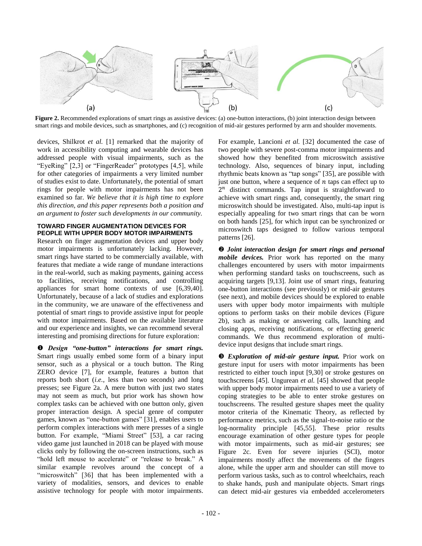

**Figure 2.** Recommended explorations of smart rings as assistive devices: (a) one-button interactions, (b) joint interaction design between smart rings and mobile devices, such as smartphones, and (c) recognition of mid-air gestures performed by arm and shoulder movements.

devices, Shilkrot *et al.* [1] remarked that the majority of work in accessibility computing and wearable devices has addressed people with visual impairments, such as the "EyeRing" [2,3] or "FingerReader" prototypes [4,5], while for other categories of impairments a very limited number of studies exist to date. Unfortunately, the potential of smart rings for people with motor impairments has not been examined so far. *We believe that it is high time to explore this direction, and this paper represents both a position and an argument to foster such developments in our community.* 

# **TOWARD FINGER AUGMENTATION DEVICES FOR PEOPLE WITH UPPER BODY MOTOR IMPAIRMENTS**

Research on finger augmentation devices and upper body motor impairments is unfortunately lacking. However, smart rings have started to be commercially available, with features that mediate a wide range of mundane interactions in the real-world, such as making payments, gaining access to facilities, receiving notifications, and controlling appliances for smart home contexts of use [6,39,40]. Unfortunately, because of a lack of studies and explorations in the community, we are unaware of the effectiveness and potential of smart rings to provide assistive input for people with motor impairments. Based on the available literature and our experience and insights, we can recommend several interesting and promising directions for future exploration:

 *Design "one-button" interactions for smart rings.* Smart rings usually embed some form of a binary input sensor, such as a physical or a touch button. The Ring ZERO device [7], for example, features a button that reports both short (*i.e.*, less than two seconds) and long presses; see Figure 2a. A mere button with just two states may not seem as much, but prior work has shown how complex tasks can be achieved with one button only, given proper interaction design. A special genre of computer games, known as "one-button games" [31], enables users to perform complex interactions with mere presses of a single button. For example, "Miami Street" [53], a car racing video game just launched in 2018 can be played with mouse clicks only by following the on-screen instructions, such as "hold left mouse to accelerate" or "release to break." A similar example revolves around the concept of a "microswitch" [36] that has been implemented with a variety of modalities, sensors, and devices to enable assistive technology for people with motor impairments. For example, Lancioni *et al.* [32] documented the case of two people with severe post-comma motor impairments and showed how they benefited from microswitch assistive technology. Also, sequences of binary input, including rhythmic beats known as "tap songs" [35], are possible with just one button, where a sequence of  $n$  taps can effect up to  $2<sup>n</sup>$  distinct commands. Tap input is straightforward to achieve with smart rings and, consequently, the smart ring microswitch should be investigated. Also, multi-tap input is especially appealing for two smart rings that can be worn on both hands [25], for which input can be synchronized or microswitch taps designed to follow various temporal patterns [26].

 *Joint interaction design for smart rings and personal mobile devices.* Prior work has reported on the many challenges encountered by users with motor impairments when performing standard tasks on touchscreens, such as acquiring targets [9,13]. Joint use of smart rings, featuring one-button interactions (see previously) or mid-air gestures (see next), and mobile devices should be explored to enable users with upper body motor impairments with multiple options to perform tasks on their mobile devices (Figure 2b), such as making or answering calls, launching and closing apps, receiving notifications, or effecting generic commands. We thus recommend exploration of multidevice input designs that include smart rings.

 *Exploration of mid-air gesture input.* Prior work on gesture input for users with motor impairments has been restricted to either touch input [9,30] or stroke gestures on touchscreens [45]. Ungurean *et al.* [45] showed that people with upper body motor impairments need to use a variety of coping strategies to be able to enter stroke gestures on touchscreens. The resulted gesture shapes meet the quality motor criteria of the Kinematic Theory, as reflected by performance metrics, such as the signal-to-noise ratio or the log-normality principle [45,55]. These prior results encourage examination of other gesture types for people with motor impairments, such as mid-air gestures; see Figure 2c. Even for severe injuries (SCI), motor impairments mostly affect the movements of the fingers alone, while the upper arm and shoulder can still move to perform various tasks, such as to control wheelchairs, reach to shake hands, push and manipulate objects. Smart rings can detect mid-air gestures via embedded accelerometers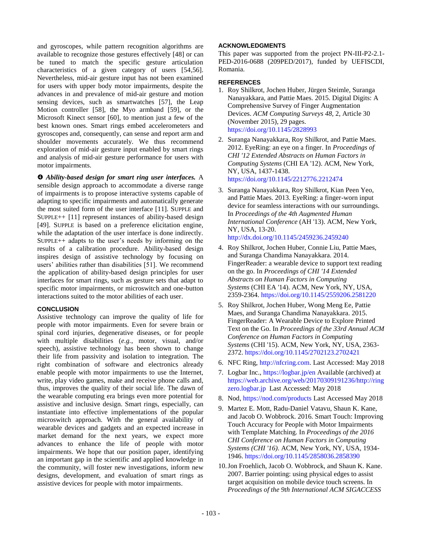and gyroscopes, while pattern recognition algorithms are available to recognize those gestures effectively [48] or can be tuned to match the specific gesture articulation characteristics of a given category of users [54,56]. Nevertheless, mid-air gesture input has not been examined for users with upper body motor impairments, despite the advances in and prevalence of mid-air gesture and motion sensing devices, such as smartwatches [57], the Leap Motion controller [58], the Myo armband [59], or the Microsoft Kinect sensor [60], to mention just a few of the best known ones. Smart rings embed accelerometers and gyroscopes and, consequently, can sense and report arm and shoulder movements accurately. We thus recommend exploration of mid-air gesture input enabled by smart rings and analysis of mid-air gesture performance for users with motor impairments.

 *Ability-based design for smart ring user interfaces.* A sensible design approach to accommodate a diverse range of impairments is to propose interactive systems capable of adapting to specific impairments and automatically generate the most suited form of the user interface [11]. SUPPLE and SUPPLE++ [11] represent instances of ability-based design [49]. SUPPLE is based on a preference elicitation engine, while the adaptation of the user interface is done indirectly. SUPPLE++ adapts to the user's needs by informing on the results of a calibration procedure. Ability-based design inspires design of assistive technology by focusing on users' abilities rather than disabilities [51]. We recommend the application of ability-based design principles for user interfaces for smart rings, such as gesture sets that adapt to specific motor impairments, or microswitch and one-button interactions suited to the motor abilities of each user.

## **CONCLUSION**

Assistive technology can improve the quality of life for people with motor impairments. Even for severe brain or spinal cord injuries, degenerative diseases, or for people with multiple disabilities (*e.g.*, motor, visual, and/or speech), assistive technology has been shown to change their life from passivity and isolation to integration. The right combination of software and electronics already enable people with motor impairments to use the Internet, write, play video games, make and receive phone calls and, thus, improves the quality of their social life. The dawn of the wearable computing era brings even more potential for assistive and inclusive design. Smart rings, especially, can instantiate into effective implementations of the popular microswitch approach. With the general availability of wearable devices and gadgets and an expected increase in market demand for the next years, we expect more advances to enhance the life of people with motor impairments. We hope that our position paper, identifying an important gap in the scientific and applied knowledge in the community, will foster new investigations, inform new designs, development, and evaluation of smart rings as assistive devices for people with motor impairments.

# **ACKNOWLEDGMENTS**

This paper was supported from the project PN-III-P2-2.1- PED-2016-0688 (209PED/2017), funded by UEFISCDI, Romania.

# **REFERENCES**

- 1. Roy Shilkrot, Jochen Huber, Jürgen Steimle, Suranga Nanayakkara, and Pattie Maes. 2015. Digital Digits: A Comprehensive Survey of Finger Augmentation Devices. *ACM Computing Surveys 48*, 2, Article 30 (November 2015), 29 pages. <https://doi.org/10.1145/2828993>
- 2. Suranga Nanayakkara, Roy Shilkrot, and Pattie Maes. 2012. EyeRing: an eye on a finger. In *Proceedings of CHI '12 Extended Abstracts on Human Factors in Computing Systems* (CHI EA '12). ACM, New York, NY, USA, 1437-1438. <https://doi.org/10.1145/2212776.2212474>
- 3. Suranga Nanayakkara, Roy Shilkrot, Kian Peen Yeo, and Pattie Maes. 2013. EyeRing: a finger-worn input device for seamless interactions with our surroundings. In *Proceedings of the 4th Augmented Human International Conference* (AH '13). ACM, New York, NY, USA, 13-20. <http://dx.doi.org/10.1145/2459236.2459240>
- 4. Roy Shilkrot, Jochen Huber, Connie Liu, Pattie Maes, and Suranga Chandima Nanayakkara. 2014. FingerReader: a wearable device to support text reading on the go. In *Proceedings of CHI '14 Extended Abstracts on Human Factors in Computing Systems* (CHI EA '14). ACM, New York, NY, USA, 2359-2364[. https://doi.org/10.1145/2559206.2581220](https://doi.org/10.1145/2559206.2581220)
- 5. Roy Shilkrot, Jochen Huber, Wong Meng Ee, Pattie Maes, and Suranga Chandima Nanayakkara. 2015. FingerReader: A Wearable Device to Explore Printed Text on the Go. In *Proceedings of the 33rd Annual ACM Conference on Human Factors in Computing Systems* (CHI '15). ACM, New York, NY, USA, 2363- 2372[. https://doi.org/10.1145/2702123.2702421](https://doi.org/10.1145/2702123.2702421)
- 6. NFC Ring, [http://nfcring.com.](http://nfcring.com/) Last Accessed: May 2018
- 7. Logbar Inc., <https://logbar.jp/en> Available (archived) at [https://web.archive.org/web/20170309191236/http://ring](https://web.archive.org/web/20170309191236/http:/ringzero.logbar.jp) [zero.logbar.jp](https://web.archive.org/web/20170309191236/http:/ringzero.logbar.jp) Last Accessed: May 2018
- 8. Nod[, https://nod.com/products](https://nod.com/products) Last Accessed May 2018
- 9. Martez E. Mott, Radu-Daniel Vatavu, Shaun K. Kane, and Jacob O. Wobbrock. 2016. Smart Touch: Improving Touch Accuracy for People with Motor Impairments with Template Matching. In *Proceedings of the 2016 CHI Conference on Human Factors in Computing Systems (CHI '16)*. ACM, New York, NY, USA, 1934- 1946[. https://doi.org/10.1145/2858036.2858390](https://doi.org/10.1145/2858036.2858390)
- 10.Jon Froehlich, Jacob O. Wobbrock, and Shaun K. Kane. 2007. Barrier pointing: using physical edges to assist target acquisition on mobile device touch screens. In *Proceedings of the 9th International ACM SIGACCESS*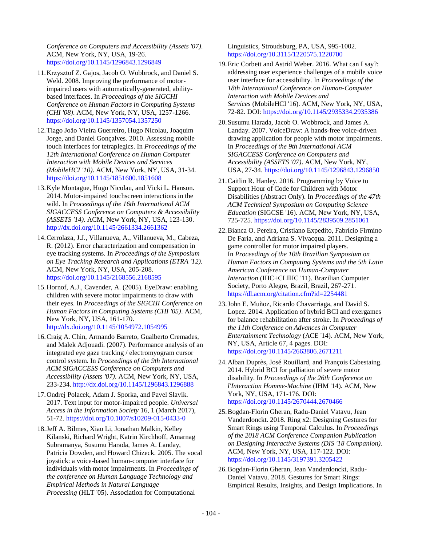*Conference on Computers and Accessibility (Assets '07)*. ACM, New York, NY, USA, 19-26. <https://doi.org/10.1145/1296843.1296849>

- 11.Krzysztof Z. Gajos, Jacob O. Wobbrock, and Daniel S. Weld. 2008. Improving the performance of motorimpaired users with automatically-generated, abilitybased interfaces. In *Proceedings of the SIGCHI Conference on Human Factors in Computing Systems (CHI '08)*. ACM, New York, NY, USA, 1257-1266. <https://doi.org/10.1145/1357054.1357250>
- 12.Tiago João Vieira Guerreiro, Hugo Nicolau, Joaquim Jorge, and Daniel Gonçalves. 2010. Assessing mobile touch interfaces for tetraplegics. In *Proceedings of the 12th International Conference on Human Computer Interaction with Mobile Devices and Services (MobileHCI '10)*. ACM, New York, NY, USA, 31-34. <https://doi.org/10.1145/1851600.1851608>
- 13.Kyle Montague, Hugo Nicolau, and Vicki L. Hanson. 2014. Motor-impaired touchscreen interactions in the wild. In *Proceedings of the 16th International ACM SIGACCESS Conference on Computers & Accessibility (ASSETS '14)*. ACM, New York, NY, USA, 123-130. <http://dx.doi.org/10.1145/2661334.2661362>
- 14.Cerrolaza, J.J., Villanueva, A., Villanueva, M., Cabeza, R. (2012). Error characterization and compensation in eye tracking systems. In *Proceedings of the Symposium on Eye Tracking Research and Applications (ETRA '12).*  ACM, New York, NY, USA, 205-208. <https://doi.org/10.1145/2168556.2168595>
- 15.Hornof, A.J., Cavender, A. (2005). EyeDraw: enabling children with severe motor impairments to draw with their eyes. In *Proceedings of the SIGCHI Conference on Human Factors in Computing Systems (CHI '05)*. ACM, New York, NY, USA, 161-170. <http://dx.doi.org/10.1145/1054972.1054995>
- 16.Craig A. Chin, Armando Barreto, Gualberto Cremades, and Malek Adjouadi. (2007). Performance analysis of an integrated eye gaze tracking / electromyogram cursor control system. In *Proceedings of the 9th International ACM SIGACCESS Conference on Computers and Accessibility (Assets '07)*. ACM, New York, NY, USA, 233-234.<http://dx.doi.org/10.1145/1296843.1296888>
- 17.Ondrej Polacek, Adam J. Sporka, and Pavel Slavik. 2017. Text input for motor-impaired people. *Universal Access in the Information Society* 16, 1 (March 2017), 51-72.<https://doi.org/10.1007/s10209-015-0433-0>
- 18.Jeff A. Bilmes, Xiao Li, Jonathan Malkin, Kelley Kilanski, Richard Wright, Katrin Kirchhoff, Amarnag Subramanya, Susumu Harada, James A. Landay, Patricia Dowden, and Howard Chizeck. 2005. The vocal joystick: a voice-based human-computer interface for individuals with motor impairments. In *Proceedings of the conference on Human Language Technology and Empirical Methods in Natural Language Processing* (HLT '05). Association for Computational

Linguistics, Stroudsburg, PA, USA, 995-1002. <https://doi.org/10.3115/1220575.1220700>

- 19.Eric Corbett and Astrid Weber. 2016. What can I say?: addressing user experience challenges of a mobile voice user interface for accessibility. In *Proceedings of the 18th International Conference on Human-Computer Interaction with Mobile Devices and Services* (MobileHCI '16). ACM, New York, NY, USA, 72-82. DOI[: https://doi.org/10.1145/2935334.2935386](https://doi.org/10.1145/2935334.2935386)
- 20.Susumu Harada, Jacob O. Wobbrock, and James A. Landay. 2007. VoiceDraw: A hands-free voice-driven drawing application for people with motor impairments. In *Proceedings of the 9th International ACM SIGACCESS Conference on Computers and Accessibility (ASSETS '07)*. ACM, New York, NY, USA, 27-34[. https://doi.org/10.1145/1296843.1296850](https://doi.org/10.1145/1296843.1296850)
- 21.Caitlin R. Hanley. 2016. Programming by Voice to Support Hour of Code for Children with Motor Disabilities (Abstract Only). In *Proceedings of the 47th ACM Technical Symposium on Computing Science Education* (SIGCSE '16). ACM, New York, NY, USA, 725-725[. https://doi.org/10.1145/2839509.2851061](https://doi.org/10.1145/2839509.2851061)
- 22.Bianca O. Pereira, Cristiano Expedito, Fabrício Firmino De Faria, and Adriana S. Vivacqua. 2011. Designing a game controller for motor impaired players. In *Proceedings of the 10th Brazilian Symposium on Human Factors in Computing Systems and the 5th Latin American Conference on Human-Computer Interaction* (IHC+CLIHC '11). Brazilian Computer Society, Porto Alegre, Brazil, Brazil, 267-271. <https://dl.acm.org/citation.cfm?id=2254481>
- 23.John E. Muñoz, Ricardo Chavarriaga, and David S. Lopez. 2014. Application of hybrid BCI and exergames for balance rehabilitation after stroke. In *Proceedings of the 11th Conference on Advances in Computer Entertainment Technology* (ACE '14). ACM, New York, NY, USA, Article 67, 4 pages. DOI: <https://doi.org/10.1145/2663806.2671211>
- 24.Alban Duprès, José Rouillard, and François Cabestaing. 2014. Hybrid BCI for palliation of severe motor disability. In *Proceedings of the 26th Conference on l'Interaction Homme-Machine* (IHM '14). ACM, New York, NY, USA, 171-176. DOI: <https://doi.org/10.1145/2670444.2670466>
- 25.Bogdan-Florin Gheran, Radu-Daniel Vatavu, Jean Vanderdonckt. 2018. Ring x2: Designing Gestures for Smart Rings using Temporal Calculus. In *Proceedings of the 2018 ACM Conference Companion Publication on Designing Interactive Systems (DIS '18 Companion)*. ACM, New York, NY, USA, 117-122. DOI: <https://doi.org/10.1145/3197391.3205422>
- 26.Bogdan-Florin Gheran, Jean Vanderdonckt, Radu-Daniel Vatavu. 2018. Gestures for Smart Rings: Empirical Results, Insights, and Design Implications. In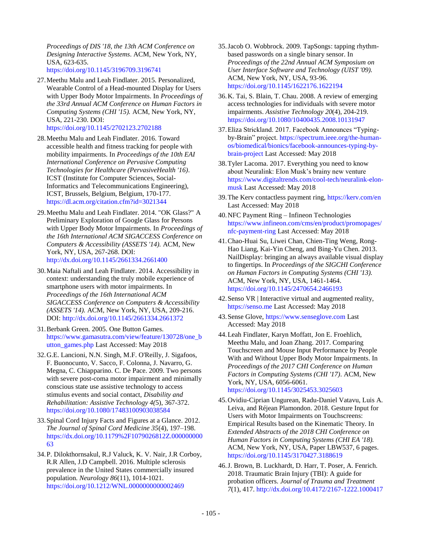*Proceedings of DIS '18, the 13th ACM Conference on Designing Interactive Systems*. ACM, New York, NY, USA, 623-635. <https://doi.org/10.1145/3196709.3196741>

27.Meethu Malu and Leah Findlater. 2015. Personalized, Wearable Control of a Head-mounted Display for Users with Upper Body Motor Impairments. In *Proceedings of the 33rd Annual ACM Conference on Human Factors in Computing Systems (CHI '15).* ACM, New York, NY, USA, 221-230. DOI:

<https://doi.org/10.1145/2702123.2702188>

- 28.Meethu Malu and Leah Findlater. 2016. Toward accessible health and fitness tracking for people with mobility impairments. In *Proceedings of the 10th EAI International Conference on Pervasive Computing Technologies for Healthcare (PervasiveHealth '16)*. ICST (Institute for Computer Sciences, Social-Informatics and Telecommunications Engineering), ICST, Brussels, Belgium, Belgium, 170-177. <https://dl.acm.org/citation.cfm?id=3021344>
- 29.Meethu Malu and Leah Findlater. 2014. "OK Glass?" A Preliminary Exploration of Google Glass for Persons with Upper Body Motor Impairments. In *Proceedings of the 16th International ACM SIGACCESS Conference on Computers & Accessibility (ASSETS '14).* ACM, New York, NY, USA, 267-268. DOI: <http://dx.doi.org/10.1145/2661334.2661400>
- 30.Maia Naftali and Leah Findlater. 2014. Accessibility in context: understanding the truly mobile experience of smartphone users with motor impairments. In *Proceedings of the 16th International ACM SIGACCESS Conference on Computers & Accessibility (ASSETS '14).* ACM, New York, NY, USA, 209-216. DOI[: http://dx.doi.org/10.1145/2661334.2661372](http://dx.doi.org/10.1145/2661334.2661372)
- 31.Berbank Green. 2005. One Button Games. [https://www.gamasutra.com/view/feature/130728/one\\_b](https://www.gamasutra.com/view/feature/130728/one_button_games.php) [utton\\_games.php](https://www.gamasutra.com/view/feature/130728/one_button_games.php) Last Accessed: May 2018
- 32.G.E. Lancioni, N.N. Singh, M.F. O'Reilly, J. Sigafoos, F. Buonocunto, V. Sacco, F. Colonna, J. Navarro, G. Megna, C. Chiapparino. C. De Pace. 2009. Two persons with severe post-coma motor impairment and minimally conscious state use assistive technology to access stimulus events and social contact, *Disability and Rehabilitation: Assistive Technology 4(*5), 367-372. <https://doi.org/10.1080/17483100903038584>
- 33.Spinal Cord Injury Facts and Figures at a Glance. 2012. *The Journal of Spinal Cord Medicine 35*(4), 197–198. [https://dx.doi.org/10.1179%2F1079026812Z.000000000](https://dx.doi.org/10.1179%2F1079026812Z.00000000063) [63](https://dx.doi.org/10.1179%2F1079026812Z.00000000063)
- 34.P. Dilokthornsakul, R.J Valuck, K. V. Nair, J.R Corboy, R.R Allen, J.D Campbell. 2016. Multiple sclerosis prevalence in the United States commercially insured population. *Neurology 86*(11), 1014-1021. <https://doi.org/10.1212/WNL.0000000000002469>
- 35.Jacob O. Wobbrock. 2009. TapSongs: tapping rhythmbased passwords on a single binary sensor. In *Proceedings of the 22nd Annual ACM Symposium on User Interface Software and Technology (UIST '09).* ACM, New York, NY, USA, 93-96. <https://doi.org/10.1145/1622176.1622194>
- 36.K. Tai, S. Blain, T. Chau. 2008. A review of emerging access technologies for individuals with severe motor impairments. *Assistive Technology 20*(4), 204-219. <https://doi.org/10.1080/10400435.2008.10131947>
- 37.Eliza Strickland. 2017. Facebook Announces "Typingby-Brain" project[. https://spectrum.ieee.org/the-human](https://spectrum.ieee.org/the-human-os/biomedical/bionics/facebook-announces-typing-by-brain-project)[os/biomedical/bionics/facebook-announces-typing-by](https://spectrum.ieee.org/the-human-os/biomedical/bionics/facebook-announces-typing-by-brain-project)[brain-project](https://spectrum.ieee.org/the-human-os/biomedical/bionics/facebook-announces-typing-by-brain-project) Last Accessed: May 2018
- 38.Tyler Lacoma. 2017. Everything you need to know about Neuralink: Elon Musk's brainy new venture [https://www.digitaltrends.com/cool-tech/neuralink-elon](https://www.digitaltrends.com/cool-tech/neuralink-elon-musk)[musk](https://www.digitaltrends.com/cool-tech/neuralink-elon-musk) Last Accessed: May 2018
- 39.The Kerv contactless payment ring,<https://kerv.com/en> Last Accessed: May 2018
- 40.NFC Payment Ring Infineon Technologies [https://www.infineon.com/cms/en/product/promopages/](https://www.infineon.com/cms/en/product/promopages/nfc-payment-ring) [nfc-payment-ring](https://www.infineon.com/cms/en/product/promopages/nfc-payment-ring) Last Accessed: May 2018
- 41.Chao-Huai Su, Liwei Chan, Chien-Ting Weng, Rong-Hao Liang, Kai-Yin Cheng, and Bing-Yu Chen. 2013. NailDisplay: bringing an always available visual display to fingertips. In *Proceedings of the SIGCHI Conference on Human Factors in Computing Systems (CHI '13).* ACM, New York, NY, USA, 1461-1464. <https://doi.org/10.1145/2470654.2466193>
- 42.Senso VR | Interactive virtual and augmented reality, [https://senso.me](https://senso.me/) Last Accessed: May 2018
- 43.Sense Glove[, https://www.senseglove.com](https://www.senseglove.com/) Last Accessed: May 2018
- 44.Leah Findlater, Karyn Moffatt, Jon E. Froehlich, Meethu Malu, and Joan Zhang. 2017. Comparing Touchscreen and Mouse Input Performance by People With and Without Upper Body Motor Impairments. In *Proceedings of the 2017 CHI Conference on Human Factors in Computing Systems (CHI '17)*. ACM, New York, NY, USA, 6056-6061. <https://doi.org/10.1145/3025453.3025603>
- 45.Ovidiu-Ciprian Ungurean, Radu-Daniel Vatavu, Luis A. Leiva, and Réjean Plamondon. 2018. Gesture Input for Users with Motor Impairments on Touchscreens: Empirical Results based on the Kinematic Theory. In *Extended Abstracts of the 2018 CHI Conference on Human Factors in Computing Systems (CHI EA '18).* ACM, New York, NY, USA, Paper LBW537, 6 pages. <https://doi.org/10.1145/3170427.3188619>
- 46.J. Brown, B. Luckhardt, D. Harr, T. Poser, A. Fenrich. 2018. Traumatic Brain Injury (TBI): A guide for probation officers. *Journal of Trauma and Treatment 7*(1), 417.<http://dx.doi.org/10.4172/2167-1222.1000417>